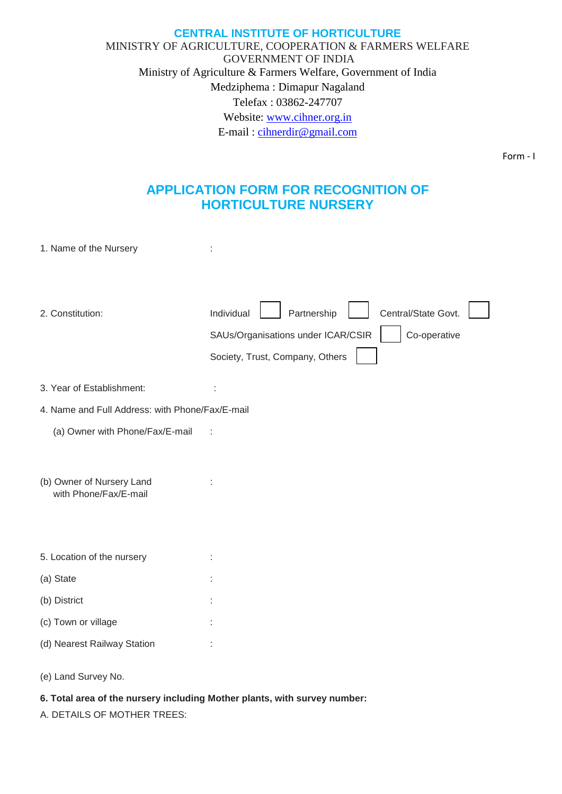## **CENTRAL INSTITUTE OF HORTICULTURE** MINISTRY OF AGRICULTURE, COOPERATION & FARMERS WELFARE GOVERNMENT OF INDIA Ministry of Agriculture & Farmers Welfare, Government of India Medziphema : Dimapur Nagaland Telefax : 03862-247707 Website: [www.cihner.org.in](http://www.cihner.org.in/) E-mail : [cihnerdir@gmail.com](mailto:cihnerdir@gmail.com)

Form - I

# **APPLICATION FORM FOR RECOGNITION OF HORTICULTURE NURSERY**

| 1. Name of the Nursery                             |                                                                                                                                           |
|----------------------------------------------------|-------------------------------------------------------------------------------------------------------------------------------------------|
| 2. Constitution:                                   | Individual<br>Partnership<br>Central/State Govt.<br>SAUs/Organisations under ICAR/CSIR<br>Co-operative<br>Society, Trust, Company, Others |
| 3. Year of Establishment:                          |                                                                                                                                           |
| 4. Name and Full Address: with Phone/Fax/E-mail    |                                                                                                                                           |
| (a) Owner with Phone/Fax/E-mail                    |                                                                                                                                           |
| (b) Owner of Nursery Land<br>with Phone/Fax/E-mail |                                                                                                                                           |
| 5. Location of the nursery                         |                                                                                                                                           |
| (a) State                                          |                                                                                                                                           |
| (b) District                                       |                                                                                                                                           |
| (c) Town or village                                |                                                                                                                                           |
| (d) Nearest Railway Station                        |                                                                                                                                           |
|                                                    |                                                                                                                                           |

(e) Land Survey No.

## **6. Total area of the nursery including Mother plants, with survey number:**

A. DETAILS OF MOTHER TREES: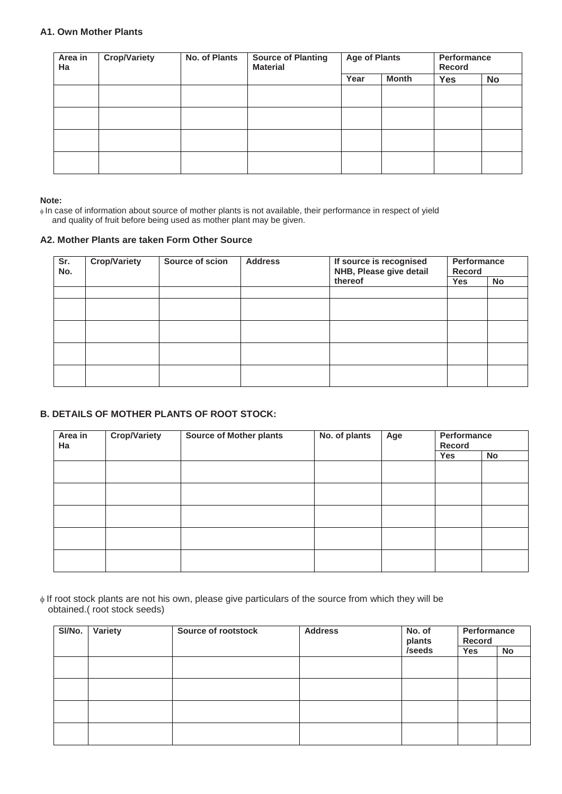## **A1. Own Mother Plants**

| Area in<br>Ha | <b>Crop/Variety</b> | No. of Plants | <b>Source of Planting</b><br><b>Material</b> | <b>Age of Plants</b> |              | Performance<br><b>Record</b> |           |
|---------------|---------------------|---------------|----------------------------------------------|----------------------|--------------|------------------------------|-----------|
|               |                     |               |                                              | Year                 | <b>Month</b> | <b>Yes</b>                   | <b>No</b> |
|               |                     |               |                                              |                      |              |                              |           |
|               |                     |               |                                              |                      |              |                              |           |
|               |                     |               |                                              |                      |              |                              |           |
|               |                     |               |                                              |                      |              |                              |           |

#### **Note:**

 In case of information about source of mother plants is not available, their performance in respect of yield and quality of fruit before being used as mother plant may be given.

#### **A2. Mother Plants are taken Form Other Source**

| Sr.<br>No. | <b>Crop/Variety</b> | Source of scion | <b>Address</b> | If source is recognised<br>NHB, Please give detail | Performance<br><b>Record</b> |    |
|------------|---------------------|-----------------|----------------|----------------------------------------------------|------------------------------|----|
|            |                     |                 |                | thereof                                            | Yes                          | No |
|            |                     |                 |                |                                                    |                              |    |
|            |                     |                 |                |                                                    |                              |    |
|            |                     |                 |                |                                                    |                              |    |
|            |                     |                 |                |                                                    |                              |    |
|            |                     |                 |                |                                                    |                              |    |

## **B. DETAILS OF MOTHER PLANTS OF ROOT STOCK:**

| Area in<br>Ha | <b>Crop/Variety</b> | <b>Source of Mother plants</b> | No. of plants | Age | Performance<br>Record |    |
|---------------|---------------------|--------------------------------|---------------|-----|-----------------------|----|
|               |                     |                                |               |     | Yes                   | No |
|               |                     |                                |               |     |                       |    |
|               |                     |                                |               |     |                       |    |
|               |                     |                                |               |     |                       |    |
|               |                     |                                |               |     |                       |    |
|               |                     |                                |               |     |                       |    |

 If root stock plants are not his own, please give particulars of the source from which they will be obtained.( root stock seeds)

| SI/No. | <b>Variety</b> | Source of rootstock<br><b>Address</b> |  | No. of<br>plants | Performance<br>Record |    |
|--------|----------------|---------------------------------------|--|------------------|-----------------------|----|
|        |                |                                       |  | /seeds           | Yes                   | No |
|        |                |                                       |  |                  |                       |    |
|        |                |                                       |  |                  |                       |    |
|        |                |                                       |  |                  |                       |    |
|        |                |                                       |  |                  |                       |    |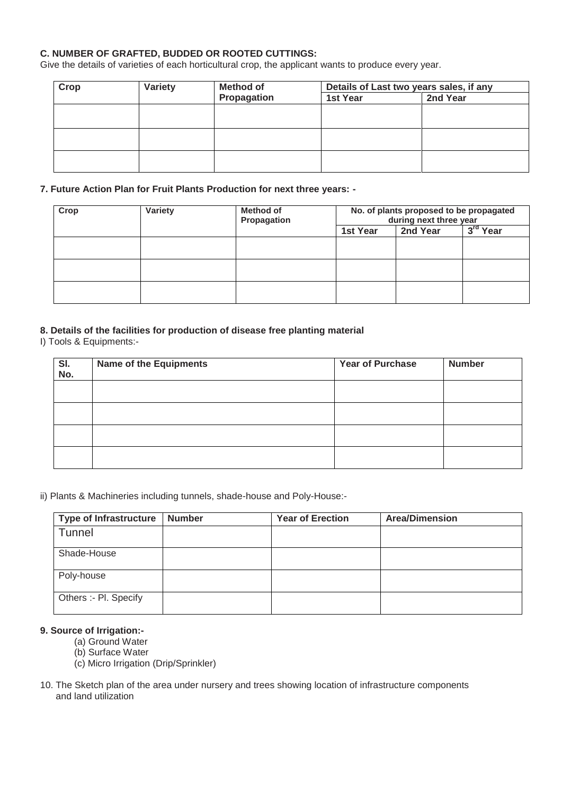## **C. NUMBER OF GRAFTED, BUDDED OR ROOTED CUTTINGS:**

Give the details of varieties of each horticultural crop, the applicant wants to produce every year.

| Crop | Variety | <b>Method of</b> | Details of Last two years sales, if any |          |  |
|------|---------|------------------|-----------------------------------------|----------|--|
|      |         | Propagation      | 1st Year                                | 2nd Year |  |
|      |         |                  |                                         |          |  |
|      |         |                  |                                         |          |  |
|      |         |                  |                                         |          |  |
|      |         |                  |                                         |          |  |
|      |         |                  |                                         |          |  |
|      |         |                  |                                         |          |  |

#### **7. Future Action Plan for Fruit Plants Production for next three years: -**

| Crop | <b>Variety</b> | <b>Method of</b><br>Propagation | No. of plants proposed to be propagated<br>during next three year |  |            |
|------|----------------|---------------------------------|-------------------------------------------------------------------|--|------------|
|      |                |                                 | 2nd Year<br>1st Year                                              |  | $3rd$ Year |
|      |                |                                 |                                                                   |  |            |
|      |                |                                 |                                                                   |  |            |
|      |                |                                 |                                                                   |  |            |
|      |                |                                 |                                                                   |  |            |

## **8. Details of the facilities for production of disease free planting material**

#### I) Tools & Equipments:-

| SI.<br>No. | <b>Name of the Equipments</b> | <b>Year of Purchase</b> | <b>Number</b> |
|------------|-------------------------------|-------------------------|---------------|
|            |                               |                         |               |
|            |                               |                         |               |
|            |                               |                         |               |
|            |                               |                         |               |

ii) Plants & Machineries including tunnels, shade-house and Poly-House:-

| <b>Type of Infrastructure</b> | <b>Number</b> | <b>Year of Erection</b> | <b>Area/Dimension</b> |
|-------------------------------|---------------|-------------------------|-----------------------|
| <b>Tunnel</b>                 |               |                         |                       |
| Shade-House                   |               |                         |                       |
| Poly-house                    |               |                         |                       |
| Others :- Pl. Specify         |               |                         |                       |

## **9. Source of Irrigation:-**

- (a) Ground Water
- (b) Surface Water
- (c) Micro Irrigation (Drip/Sprinkler)
- 10. The Sketch plan of the area under nursery and trees showing location of infrastructure components and land utilization